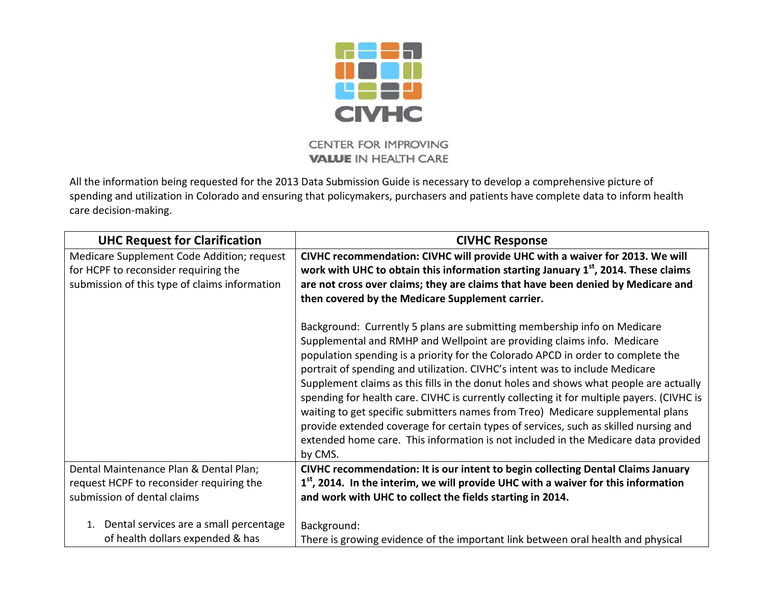

**CENTER FOR IMPROVING VALUE IN HEALTH CARE** 

All the information being requested for the 2013 Data Submission Guide is necessary to develop a comprehensive picture of spending and utilization in Colorado and ensuring that policymakers, purchasers and patients have complete data to inform health care decision-making.

| <b>UHC Request for Clarification</b>                                                                                                | <b>CIVHC Response</b>                                                                                                                                                                                                                                                                                                                                                                                                                                                                                                                                                                                                                                                                                                                                                                     |
|-------------------------------------------------------------------------------------------------------------------------------------|-------------------------------------------------------------------------------------------------------------------------------------------------------------------------------------------------------------------------------------------------------------------------------------------------------------------------------------------------------------------------------------------------------------------------------------------------------------------------------------------------------------------------------------------------------------------------------------------------------------------------------------------------------------------------------------------------------------------------------------------------------------------------------------------|
| Medicare Supplement Code Addition; request<br>for HCPF to reconsider requiring the<br>submission of this type of claims information | CIVHC recommendation: CIVHC will provide UHC with a waiver for 2013. We will<br>work with UHC to obtain this information starting January $1st$ , 2014. These claims<br>are not cross over claims; they are claims that have been denied by Medicare and<br>then covered by the Medicare Supplement carrier.                                                                                                                                                                                                                                                                                                                                                                                                                                                                              |
|                                                                                                                                     | Background: Currently 5 plans are submitting membership info on Medicare<br>Supplemental and RMHP and Wellpoint are providing claims info. Medicare<br>population spending is a priority for the Colorado APCD in order to complete the<br>portrait of spending and utilization. CIVHC's intent was to include Medicare<br>Supplement claims as this fills in the donut holes and shows what people are actually<br>spending for health care. CIVHC is currently collecting it for multiple payers. (CIVHC is<br>waiting to get specific submitters names from Treo) Medicare supplemental plans<br>provide extended coverage for certain types of services, such as skilled nursing and<br>extended home care. This information is not included in the Medicare data provided<br>by CMS. |
| Dental Maintenance Plan & Dental Plan;                                                                                              | CIVHC recommendation: It is our intent to begin collecting Dental Claims January                                                                                                                                                                                                                                                                                                                                                                                                                                                                                                                                                                                                                                                                                                          |
| request HCPF to reconsider requiring the                                                                                            | $1st$ , 2014. In the interim, we will provide UHC with a waiver for this information                                                                                                                                                                                                                                                                                                                                                                                                                                                                                                                                                                                                                                                                                                      |
| submission of dental claims                                                                                                         | and work with UHC to collect the fields starting in 2014.                                                                                                                                                                                                                                                                                                                                                                                                                                                                                                                                                                                                                                                                                                                                 |
| Dental services are a small percentage<br>1.<br>of health dollars expended & has                                                    | Background:<br>There is growing evidence of the important link between oral health and physical                                                                                                                                                                                                                                                                                                                                                                                                                                                                                                                                                                                                                                                                                           |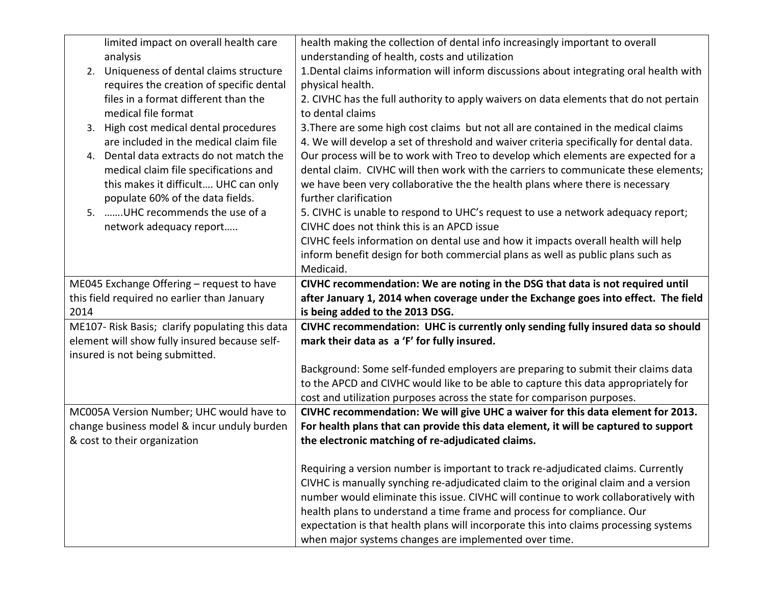|      | limited impact on overall health care           | health making the collection of dental info increasingly important to overall                                                                  |
|------|-------------------------------------------------|------------------------------------------------------------------------------------------------------------------------------------------------|
|      | analysis                                        | understanding of health, costs and utilization                                                                                                 |
| 2.   | Uniqueness of dental claims structure           | 1. Dental claims information will inform discussions about integrating oral health with                                                        |
|      | requires the creation of specific dental        | physical health.                                                                                                                               |
|      | files in a format different than the            | 2. CIVHC has the full authority to apply waivers on data elements that do not pertain                                                          |
|      | medical file format                             | to dental claims                                                                                                                               |
|      | 3. High cost medical dental procedures          | 3. There are some high cost claims but not all are contained in the medical claims                                                             |
|      | are included in the medical claim file          | 4. We will develop a set of threshold and waiver criteria specifically for dental data.                                                        |
| 4.   | Dental data extracts do not match the           | Our process will be to work with Treo to develop which elements are expected for a                                                             |
|      | medical claim file specifications and           | dental claim. CIVHC will then work with the carriers to communicate these elements;                                                            |
|      | this makes it difficult UHC can only            | we have been very collaborative the the health plans where there is necessary                                                                  |
|      | populate 60% of the data fields.                | further clarification                                                                                                                          |
|      | 5. UHC recommends the use of a                  | 5. CIVHC is unable to respond to UHC's request to use a network adequacy report;                                                               |
|      | network adequacy report                         | CIVHC does not think this is an APCD issue                                                                                                     |
|      |                                                 | CIVHC feels information on dental use and how it impacts overall health will help                                                              |
|      |                                                 | inform benefit design for both commercial plans as well as public plans such as                                                                |
|      |                                                 | Medicaid.                                                                                                                                      |
|      | ME045 Exchange Offering - request to have       | CIVHC recommendation: We are noting in the DSG that data is not required until                                                                 |
|      | this field required no earlier than January     | after January 1, 2014 when coverage under the Exchange goes into effect. The field                                                             |
| 2014 |                                                 | is being added to the 2013 DSG.                                                                                                                |
|      |                                                 |                                                                                                                                                |
|      | ME107- Risk Basis; clarify populating this data | CIVHC recommendation: UHC is currently only sending fully insured data so should                                                               |
|      | element will show fully insured because self-   | mark their data as a 'F' for fully insured.                                                                                                    |
|      | insured is not being submitted.                 |                                                                                                                                                |
|      |                                                 | Background: Some self-funded employers are preparing to submit their claims data                                                               |
|      |                                                 | to the APCD and CIVHC would like to be able to capture this data appropriately for                                                             |
|      |                                                 | cost and utilization purposes across the state for comparison purposes.                                                                        |
|      | MC005A Version Number; UHC would have to        | CIVHC recommendation: We will give UHC a waiver for this data element for 2013.                                                                |
|      | change business model & incur unduly burden     | For health plans that can provide this data element, it will be captured to support                                                            |
|      | & cost to their organization                    | the electronic matching of re-adjudicated claims.                                                                                              |
|      |                                                 |                                                                                                                                                |
|      |                                                 | Requiring a version number is important to track re-adjudicated claims. Currently                                                              |
|      |                                                 | CIVHC is manually synching re-adjudicated claim to the original claim and a version                                                            |
|      |                                                 | number would eliminate this issue. CIVHC will continue to work collaboratively with                                                            |
|      |                                                 | health plans to understand a time frame and process for compliance. Our                                                                        |
|      |                                                 | expectation is that health plans will incorporate this into claims processing systems<br>when major systems changes are implemented over time. |